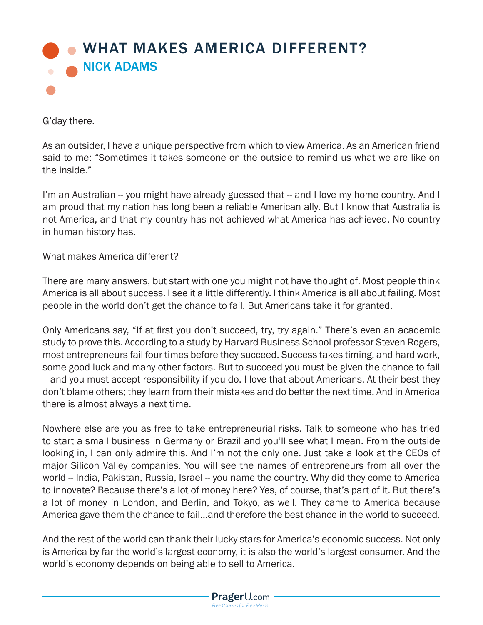

G'day there.

As an outsider, I have a unique perspective from which to view America. As an American friend said to me: "Sometimes it takes someone on the outside to remind us what we are like on the inside."

I'm an Australian -- you might have already guessed that -- and I love my home country. And I am proud that my nation has long been a reliable American ally. But I know that Australia is not America, and that my country has not achieved what America has achieved. No country in human history has.

What makes America different?

There are many answers, but start with one you might not have thought of. Most people think America is all about success. I see it a little differently. I think America is all about failing. Most people in the world don't get the chance to fail. But Americans take it for granted.

Only Americans say, "If at first you don't succeed, try, try again." There's even an academic study to prove this. According to a study by Harvard Business School professor Steven Rogers, most entrepreneurs fail four times before they succeed. Success takes timing, and hard work, some good luck and many other factors. But to succeed you must be given the chance to fail -- and you must accept responsibility if you do. I love that about Americans. At their best they don't blame others; they learn from their mistakes and do better the next time. And in America there is almost always a next time.

Nowhere else are you as free to take entrepreneurial risks. Talk to someone who has tried to start a small business in Germany or Brazil and you'll see what I mean. From the outside looking in, I can only admire this. And I'm not the only one. Just take a look at the CEOs of major Silicon Valley companies. You will see the names of entrepreneurs from all over the world -- India, Pakistan, Russia, Israel -- you name the country. Why did they come to America to innovate? Because there's a lot of money here? Yes, of course, that's part of it. But there's a lot of money in London, and Berlin, and Tokyo, as well. They came to America because America gave them the chance to fail...and therefore the best chance in the world to succeed.

And the rest of the world can thank their lucky stars for America's economic success. Not only is America by far the world's largest economy, it is also the world's largest consumer. And the world's economy depends on being able to sell to America.